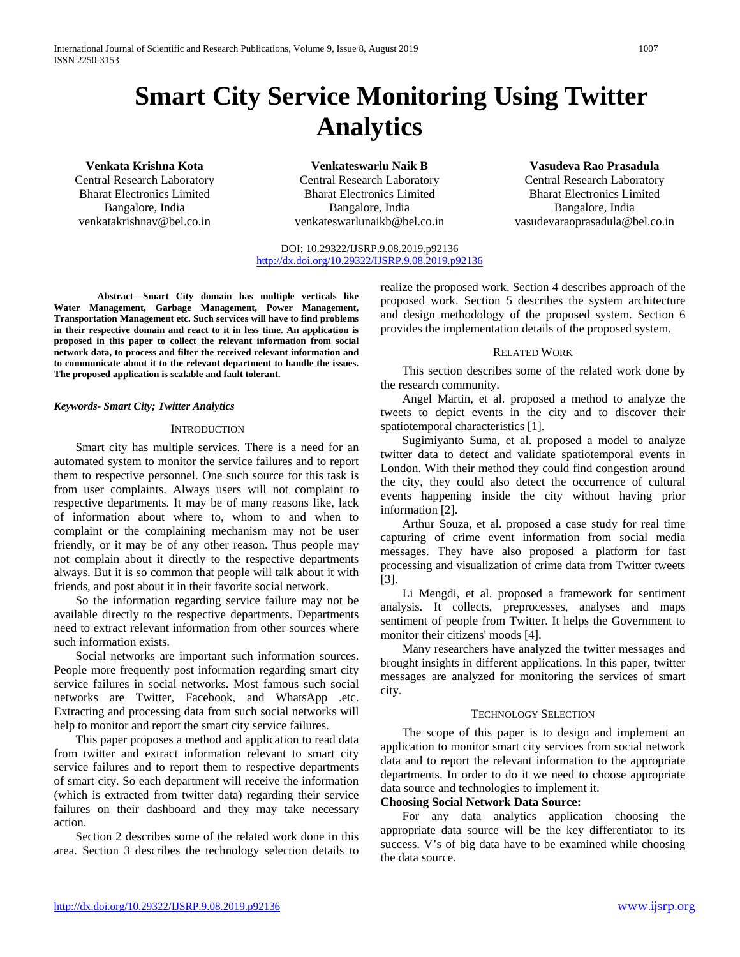# **Smart City Service Monitoring Using Twitter Analytics**

**Venkata Krishna Kota** Central Research Laboratory Bharat Electronics Limited Bangalore, India venkatakrishnav@bel.co.in

**Venkateswarlu Naik B** Central Research Laboratory Bharat Electronics Limited Bangalore, India venkateswarlunaikb@bel.co.in

# **Vasudeva Rao Prasadula** Central Research Laboratory Bharat Electronics Limited Bangalore, India vasudevaraoprasadula@bel.co.in

DOI: 10.29322/IJSRP.9.08.2019.p92136 <http://dx.doi.org/10.29322/IJSRP.9.08.2019.p92136>

**Abstract—Smart City domain has multiple verticals like Water Management, Garbage Management, Power Management, Transportation Management etc. Such services will have to find problems in their respective domain and react to it in less time. An application is proposed in this paper to collect the relevant information from social network data, to process and filter the received relevant information and to communicate about it to the relevant department to handle the issues. The proposed application is scalable and fault tolerant.**

#### *Keywords- Smart City; Twitter Analytics*

#### **INTRODUCTION**

Smart city has multiple services. There is a need for an automated system to monitor the service failures and to report them to respective personnel. One such source for this task is from user complaints. Always users will not complaint to respective departments. It may be of many reasons like, lack of information about where to, whom to and when to complaint or the complaining mechanism may not be user friendly, or it may be of any other reason. Thus people may not complain about it directly to the respective departments always. But it is so common that people will talk about it with friends, and post about it in their favorite social network.

So the information regarding service failure may not be available directly to the respective departments. Departments need to extract relevant information from other sources where such information exists.

Social networks are important such information sources. People more frequently post information regarding smart city service failures in social networks. Most famous such social networks are Twitter, Facebook, and WhatsApp .etc. Extracting and processing data from such social networks will help to monitor and report the smart city service failures.

This paper proposes a method and application to read data from twitter and extract information relevant to smart city service failures and to report them to respective departments of smart city. So each department will receive the information (which is extracted from twitter data) regarding their service failures on their dashboard and they may take necessary action.

Section 2 describes some of the related work done in this area. Section 3 describes the technology selection details to

realize the proposed work. Section 4 describes approach of the proposed work. Section 5 describes the system architecture and design methodology of the proposed system. Section 6 provides the implementation details of the proposed system.

#### RELATED WORK

This section describes some of the related work done by the research community.

Angel Martin, et al. proposed a method to analyze the tweets to depict events in the city and to discover their spatiotemporal characteristics [1].

Sugimiyanto Suma, et al. proposed a model to analyze twitter data to detect and validate spatiotemporal events in London. With their method they could find congestion around the city, they could also detect the occurrence of cultural events happening inside the city without having prior information [2].

Arthur Souza, et al. proposed a case study for real time capturing of crime event information from social media messages. They have also proposed a platform for fast processing and visualization of crime data from Twitter tweets [3].

Li Mengdi, et al. proposed a framework for sentiment analysis. It collects, preprocesses, analyses and maps sentiment of people from Twitter. It helps the Government to monitor their citizens' moods [4].

Many researchers have analyzed the twitter messages and brought insights in different applications. In this paper, twitter messages are analyzed for monitoring the services of smart city.

#### TECHNOLOGY SELECTION

The scope of this paper is to design and implement an application to monitor smart city services from social network data and to report the relevant information to the appropriate departments. In order to do it we need to choose appropriate data source and technologies to implement it.

#### **Choosing Social Network Data Source:**

For any data analytics application choosing the appropriate data source will be the key differentiator to its success. V's of big data have to be examined while choosing the data source.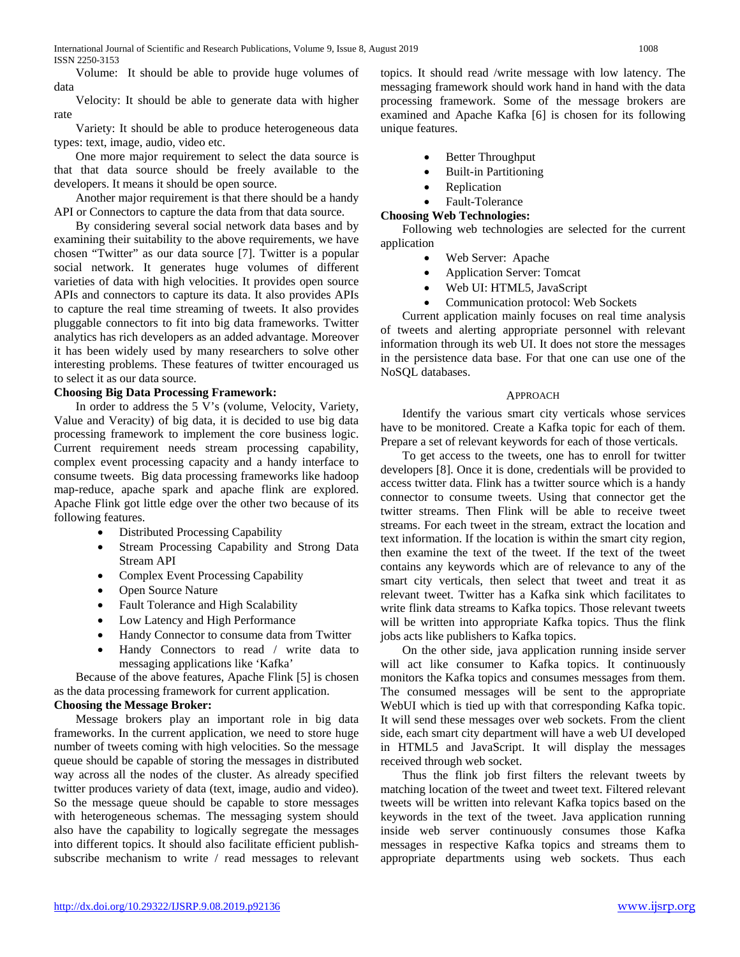Volume: It should be able to provide huge volumes of data

Velocity: It should be able to generate data with higher rate

Variety: It should be able to produce heterogeneous data types: text, image, audio, video etc.

One more major requirement to select the data source is that that data source should be freely available to the developers. It means it should be open source.

Another major requirement is that there should be a handy API or Connectors to capture the data from that data source.

By considering several social network data bases and by examining their suitability to the above requirements, we have chosen "Twitter" as our data source [7]. Twitter is a popular social network. It generates huge volumes of different varieties of data with high velocities. It provides open source APIs and connectors to capture its data. It also provides APIs to capture the real time streaming of tweets. It also provides pluggable connectors to fit into big data frameworks. Twitter analytics has rich developers as an added advantage. Moreover it has been widely used by many researchers to solve other interesting problems. These features of twitter encouraged us to select it as our data source.

# **Choosing Big Data Processing Framework:**

In order to address the 5 V's (volume, Velocity, Variety, Value and Veracity) of big data, it is decided to use big data processing framework to implement the core business logic. Current requirement needs stream processing capability, complex event processing capacity and a handy interface to consume tweets. Big data processing frameworks like hadoop map-reduce, apache spark and apache flink are explored. Apache Flink got little edge over the other two because of its following features.

- Distributed Processing Capability
- Stream Processing Capability and Strong Data Stream API
- Complex Event Processing Capability
- Open Source Nature
- Fault Tolerance and High Scalability
- Low Latency and High Performance
- Handy Connector to consume data from Twitter
- Handy Connectors to read / write data to messaging applications like 'Kafka'

Because of the above features, Apache Flink [5] is chosen as the data processing framework for current application.

# **Choosing the Message Broker:**

Message brokers play an important role in big data frameworks. In the current application, we need to store huge number of tweets coming with high velocities. So the message queue should be capable of storing the messages in distributed way across all the nodes of the cluster. As already specified twitter produces variety of data (text, image, audio and video). So the message queue should be capable to store messages with heterogeneous schemas. The messaging system should also have the capability to logically segregate the messages into different topics. It should also facilitate efficient publishsubscribe mechanism to write / read messages to relevant

topics. It should read /write message with low latency. The messaging framework should work hand in hand with the data processing framework. Some of the message brokers are examined and Apache Kafka [6] is chosen for its following unique features.

- Better Throughput
- Built-in Partitioning
- Replication
- Fault-Tolerance

**Choosing Web Technologies:**

Following web technologies are selected for the current application

- Web Server: Apache
- Application Server: Tomcat
- Web UI: HTML5, JavaScript
- Communication protocol: Web Sockets

Current application mainly focuses on real time analysis of tweets and alerting appropriate personnel with relevant information through its web UI. It does not store the messages in the persistence data base. For that one can use one of the NoSQL databases.

# APPROACH

Identify the various smart city verticals whose services have to be monitored. Create a Kafka topic for each of them. Prepare a set of relevant keywords for each of those verticals.

To get access to the tweets, one has to enroll for twitter developers [8]. Once it is done, credentials will be provided to access twitter data. Flink has a twitter source which is a handy connector to consume tweets. Using that connector get the twitter streams. Then Flink will be able to receive tweet streams. For each tweet in the stream, extract the location and text information. If the location is within the smart city region, then examine the text of the tweet. If the text of the tweet contains any keywords which are of relevance to any of the smart city verticals, then select that tweet and treat it as relevant tweet. Twitter has a Kafka sink which facilitates to write flink data streams to Kafka topics. Those relevant tweets will be written into appropriate Kafka topics. Thus the flink jobs acts like publishers to Kafka topics.

On the other side, java application running inside server will act like consumer to Kafka topics. It continuously monitors the Kafka topics and consumes messages from them. The consumed messages will be sent to the appropriate WebUI which is tied up with that corresponding Kafka topic. It will send these messages over web sockets. From the client side, each smart city department will have a web UI developed in HTML5 and JavaScript. It will display the messages received through web socket.

Thus the flink job first filters the relevant tweets by matching location of the tweet and tweet text. Filtered relevant tweets will be written into relevant Kafka topics based on the keywords in the text of the tweet. Java application running inside web server continuously consumes those Kafka messages in respective Kafka topics and streams them to appropriate departments using web sockets. Thus each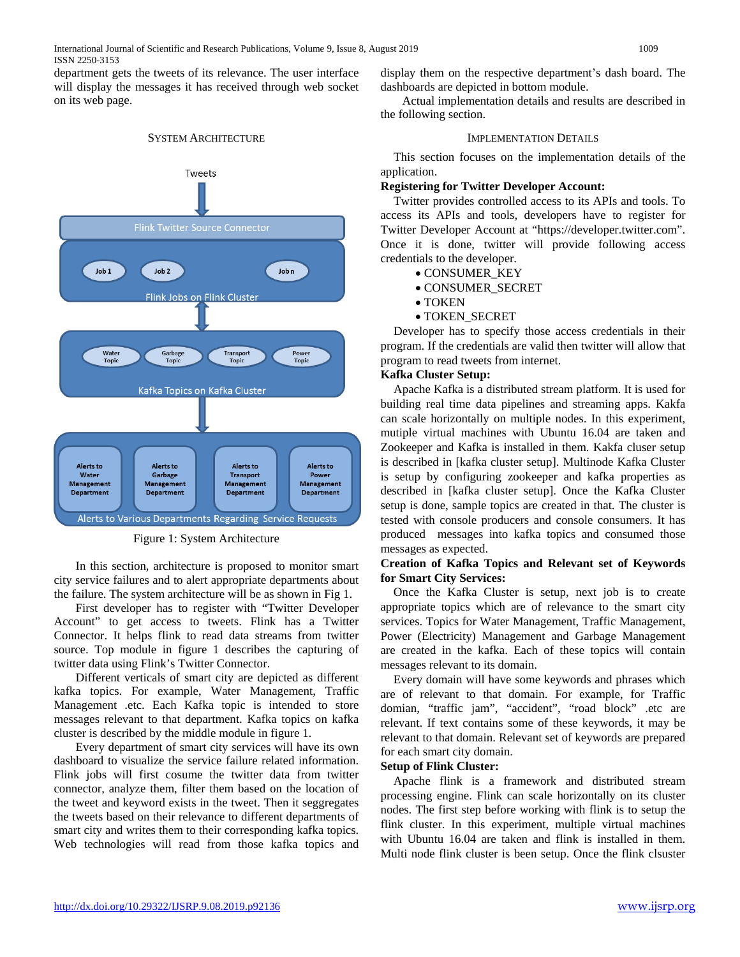department gets the tweets of its relevance. The user interface will display the messages it has received through web socket on its web page.



#### SYSTEM ARCHITECTURE

Figure 1: System Architecture

In this section, architecture is proposed to monitor smart city service failures and to alert appropriate departments about the failure. The system architecture will be as shown in Fig 1.

First developer has to register with "Twitter Developer Account" to get access to tweets. Flink has a Twitter Connector. It helps flink to read data streams from twitter source. Top module in figure 1 describes the capturing of twitter data using Flink's Twitter Connector.

Different verticals of smart city are depicted as different kafka topics. For example, Water Management, Traffic Management .etc. Each Kafka topic is intended to store messages relevant to that department. Kafka topics on kafka cluster is described by the middle module in figure 1.

Every department of smart city services will have its own dashboard to visualize the service failure related information. Flink jobs will first cosume the twitter data from twitter connector, analyze them, filter them based on the location of the tweet and keyword exists in the tweet. Then it seggregates the tweets based on their relevance to different departments of smart city and writes them to their corresponding kafka topics. Web technologies will read from those kafka topics and

display them on the respective department's dash board. The dashboards are depicted in bottom module.

Actual implementation details and results are described in the following section.

#### IMPLEMENTATION DETAILS

This section focuses on the implementation details of the application.

#### **Registering for Twitter Developer Account:**

Twitter provides controlled access to its APIs and tools. To access its APIs and tools, developers have to register for Twitter Developer Account at "https://developer.twitter.com". Once it is done, twitter will provide following access credentials to the developer.

- CONSUMER\_KEY
- CONSUMER\_SECRET
- TOKEN
- TOKEN\_SECRET

Developer has to specify those access credentials in their program. If the credentials are valid then twitter will allow that program to read tweets from internet.

#### **Kafka Cluster Setup:**

Apache Kafka is a distributed stream platform. It is used for building real time data pipelines and streaming apps. Kakfa can scale horizontally on multiple nodes. In this experiment, mutiple virtual machines with Ubuntu 16.04 are taken and Zookeeper and Kafka is installed in them. Kakfa cluser setup is described in [kafka cluster setup]. Multinode Kafka Cluster is setup by configuring zookeeper and kafka properties as described in [kafka cluster setup]. Once the Kafka Cluster setup is done, sample topics are created in that. The cluster is tested with console producers and console consumers. It has produced messages into kafka topics and consumed those messages as expected.

# **Creation of Kafka Topics and Relevant set of Keywords for Smart City Services:**

Once the Kafka Cluster is setup, next job is to create appropriate topics which are of relevance to the smart city services. Topics for Water Management, Traffic Management, Power (Electricity) Management and Garbage Management are created in the kafka. Each of these topics will contain messages relevant to its domain.

Every domain will have some keywords and phrases which are of relevant to that domain. For example, for Traffic domian, "traffic jam", "accident", "road block" .etc are relevant. If text contains some of these keywords, it may be relevant to that domain. Relevant set of keywords are prepared for each smart city domain.

#### **Setup of Flink Cluster:**

Apache flink is a framework and distributed stream processing engine. Flink can scale horizontally on its cluster nodes. The first step before working with flink is to setup the flink cluster. In this experiment, multiple virtual machines with Ubuntu 16.04 are taken and flink is installed in them. Multi node flink cluster is been setup. Once the flink clsuster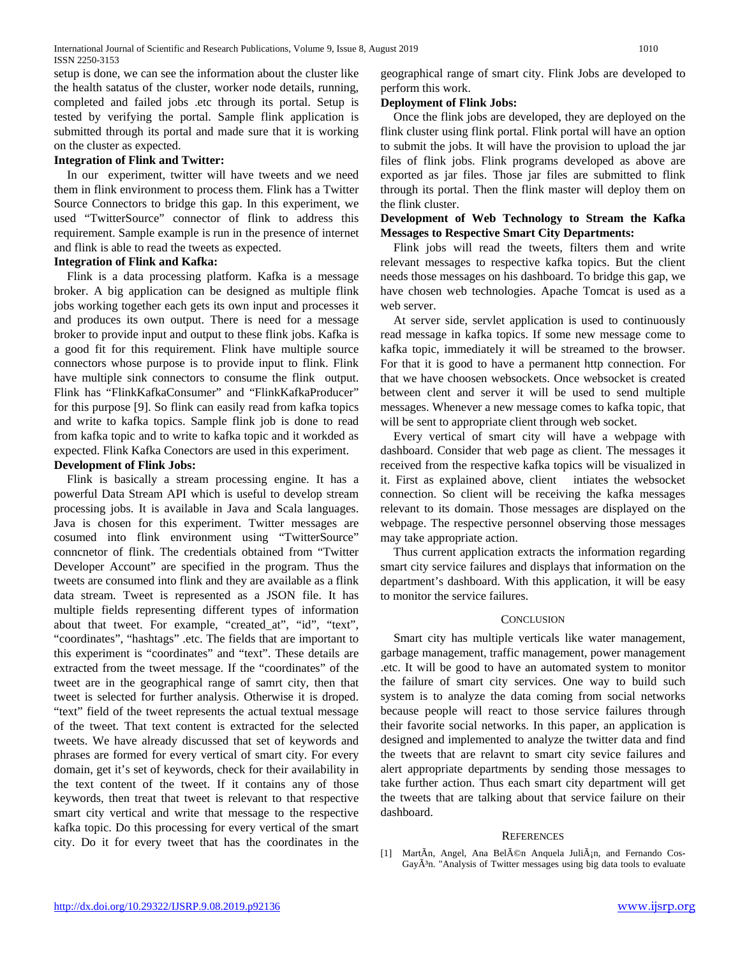setup is done, we can see the information about the cluster like the health satatus of the cluster, worker node details, running, completed and failed jobs .etc through its portal. Setup is tested by verifying the portal. Sample flink application is submitted through its portal and made sure that it is working on the cluster as expected.

# **Integration of Flink and Twitter:**

In our experiment, twitter will have tweets and we need them in flink environment to process them. Flink has a Twitter Source Connectors to bridge this gap. In this experiment, we used "TwitterSource" connector of flink to address this requirement. Sample example is run in the presence of internet and flink is able to read the tweets as expected.

# **Integration of Flink and Kafka:**

Flink is a data processing platform. Kafka is a message broker. A big application can be designed as multiple flink jobs working together each gets its own input and processes it and produces its own output. There is need for a message broker to provide input and output to these flink jobs. Kafka is a good fit for this requirement. Flink have multiple source connectors whose purpose is to provide input to flink. Flink have multiple sink connectors to consume the flink output. Flink has "FlinkKafkaConsumer" and "FlinkKafkaProducer" for this purpose [9]. So flink can easily read from kafka topics and write to kafka topics. Sample flink job is done to read from kafka topic and to write to kafka topic and it workded as expected. Flink Kafka Conectors are used in this experiment.

# **Development of Flink Jobs:**

Flink is basically a stream processing engine. It has a powerful Data Stream API which is useful to develop stream processing jobs. It is available in Java and Scala languages. Java is chosen for this experiment. Twitter messages are cosumed into flink environment using "TwitterSource" conncnetor of flink. The credentials obtained from "Twitter Developer Account" are specified in the program. Thus the tweets are consumed into flink and they are available as a flink data stream. Tweet is represented as a JSON file. It has multiple fields representing different types of information about that tweet. For example, "created\_at", "id", "text", "coordinates", "hashtags" .etc. The fields that are important to this experiment is "coordinates" and "text". These details are extracted from the tweet message. If the "coordinates" of the tweet are in the geographical range of samrt city, then that tweet is selected for further analysis. Otherwise it is droped. "text" field of the tweet represents the actual textual message of the tweet. That text content is extracted for the selected tweets. We have already discussed that set of keywords and phrases are formed for every vertical of smart city. For every domain, get it's set of keywords, check for their availability in the text content of the tweet. If it contains any of those keywords, then treat that tweet is relevant to that respective smart city vertical and write that message to the respective kafka topic. Do this processing for every vertical of the smart city. Do it for every tweet that has the coordinates in the

geographical range of smart city. Flink Jobs are developed to perform this work.

# **Deployment of Flink Jobs:**

Once the flink jobs are developed, they are deployed on the flink cluster using flink portal. Flink portal will have an option to submit the jobs. It will have the provision to upload the jar files of flink jobs. Flink programs developed as above are exported as jar files. Those jar files are submitted to flink through its portal. Then the flink master will deploy them on the flink cluster.

# **Development of Web Technology to Stream the Kafka Messages to Respective Smart City Departments:**

Flink jobs will read the tweets, filters them and write relevant messages to respective kafka topics. But the client needs those messages on his dashboard. To bridge this gap, we have chosen web technologies. Apache Tomcat is used as a web server.

At server side, servlet application is used to continuously read message in kafka topics. If some new message come to kafka topic, immediately it will be streamed to the browser. For that it is good to have a permanent http connection. For that we have choosen websockets. Once websocket is created between clent and server it will be used to send multiple messages. Whenever a new message comes to kafka topic, that will be sent to appropriate client through web socket.

Every vertical of smart city will have a webpage with dashboard. Consider that web page as client. The messages it received from the respective kafka topics will be visualized in it. First as explained above, client intiates the websocket connection. So client will be receiving the kafka messages relevant to its domain. Those messages are displayed on the webpage. The respective personnel observing those messages may take appropriate action.

Thus current application extracts the information regarding smart city service failures and displays that information on the department's dashboard. With this application, it will be easy to monitor the service failures.

# **CONCLUSION**

Smart city has multiple verticals like water management, garbage management, traffic management, power management .etc. It will be good to have an automated system to monitor the failure of smart city services. One way to build such system is to analyze the data coming from social networks because people will react to those service failures through their favorite social networks. In this paper, an application is designed and implemented to analyze the twitter data and find the tweets that are relavnt to smart city sevice failures and alert appropriate departments by sending those messages to take further action. Thus each smart city department will get the tweets that are talking about that service failure on their dashboard.

# **REFERENCES**

[1] MartÃn, Angel, Ana Belén Anquela Julián, and Fernando Cos-GayÃ<sup>3</sup>n. "Analysis of Twitter messages using big data tools to evaluate